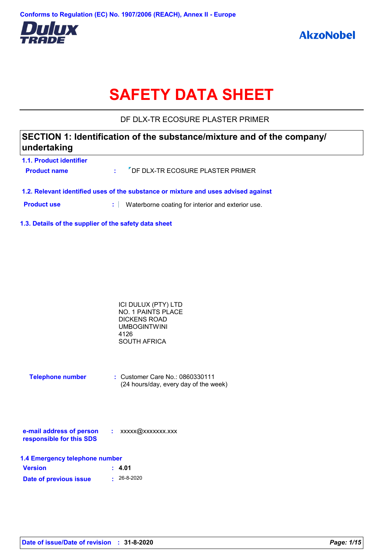

# **SAFETY DATA SHEET**

DF DLX-TR ECOSURE PLASTER PRIMER

## **1.1. Product identifier SECTION 1: Identification of the substance/mixture and of the company/ undertaking**

| <b>Product name</b> | : <sup>7</sup> DF DLX-TR ECOSURE PLASTER PRIMER                                    |
|---------------------|------------------------------------------------------------------------------------|
|                     | 1.2. Relevant identified uses of the substance or mixture and uses advised against |

**Product use <b>:** Waterborne coating for interior and exterior use.

**1.3. Details of the supplier of the safety data sheet**

| ICI DULUX (PTY) LTD |  |
|---------------------|--|
| NO. 1 PAINTS PLACE  |  |
| DICKENS ROAD        |  |
| <b>UMBOGINTWINI</b> |  |
| 4126                |  |
| SOUTH AFRICA        |  |

| <b>Telephone number</b> | $\therefore$ Customer Care No.: 0860330111 |
|-------------------------|--------------------------------------------|
|                         | (24 hours/day, every day of the week)      |

| e-mail address of person | xxxxx@xxxxxxx.xxx |
|--------------------------|-------------------|
| responsible for this SDS |                   |

| 1.4 Emergency telephone number |                   |  |
|--------------------------------|-------------------|--|
| <b>Version</b>                 | : 4.01            |  |
| Date of previous issue         | $\cdot$ 26-8-2020 |  |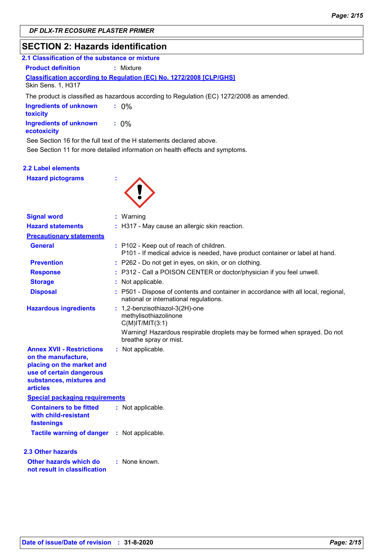# **SECTION 2: Hazards identification**

| 2.1 Classification of the substance or mixture                                                                                                       |                                                                                           |  |
|------------------------------------------------------------------------------------------------------------------------------------------------------|-------------------------------------------------------------------------------------------|--|
| <b>Product definition</b>                                                                                                                            | : Mixture                                                                                 |  |
| Skin Sens. 1, H317                                                                                                                                   | <b>Classification according to Regulation (EC) No. 1272/2008 [CLP/GHS]</b>                |  |
|                                                                                                                                                      | The product is classified as hazardous according to Regulation (EC) 1272/2008 as amended. |  |
| <b>Ingredients of unknown</b><br>toxicity                                                                                                            | $: 0\%$                                                                                   |  |
| Ingredients of unknown<br>ecotoxicity                                                                                                                | $: 0\%$                                                                                   |  |
| See Section 16 for the full text of the H statements declared above.<br>See Section 11 for more detailed information on health effects and symptoms. |                                                                                           |  |

#### **2.2 Label elements**

**Hazard pictograms :**



| <b>Signal word</b>                                                                                                                                              | $:$ Warning                                                                                                                  |
|-----------------------------------------------------------------------------------------------------------------------------------------------------------------|------------------------------------------------------------------------------------------------------------------------------|
| <b>Hazard statements</b>                                                                                                                                        | : H317 - May cause an allergic skin reaction.                                                                                |
| <b>Precautionary statements</b>                                                                                                                                 |                                                                                                                              |
| <b>General</b>                                                                                                                                                  | : P102 - Keep out of reach of children.<br>P101 - If medical advice is needed, have product container or label at hand.      |
| <b>Prevention</b>                                                                                                                                               | : P262 - Do not get in eyes, on skin, or on clothing.                                                                        |
| <b>Response</b>                                                                                                                                                 | : P312 - Call a POISON CENTER or doctor/physician if you feel unwell.                                                        |
| <b>Storage</b>                                                                                                                                                  | Not applicable.                                                                                                              |
| <b>Disposal</b>                                                                                                                                                 | : P501 - Dispose of contents and container in accordance with all local, regional,<br>national or international regulations. |
| <b>Hazardous ingredients</b>                                                                                                                                    | : 1,2-benzisothiazol-3(2H)-one<br>methylisothiazolinone<br>$C(M)$ IT/MIT $(3:1)$                                             |
|                                                                                                                                                                 | Warning! Hazardous respirable droplets may be formed when sprayed. Do not<br>breathe spray or mist.                          |
| <b>Annex XVII - Restrictions</b><br>on the manufacture,<br>placing on the market and<br>use of certain dangerous<br>substances, mixtures and<br><b>articles</b> | : Not applicable.                                                                                                            |
| <b>Special packaging requirements</b>                                                                                                                           |                                                                                                                              |
| <b>Containers to be fitted</b><br>with child-resistant<br>fastenings                                                                                            | : Not applicable.                                                                                                            |
| Tactile warning of danger : Not applicable.                                                                                                                     |                                                                                                                              |
| <b>2.3 Other hazards</b>                                                                                                                                        |                                                                                                                              |
| Other hazards which do<br>not result in classification                                                                                                          | : None known.                                                                                                                |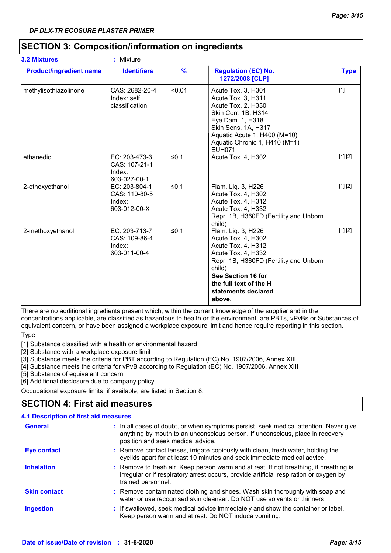## **SECTION 3: Composition/information on ingredients**

| <b>3.2 Mixtures</b>            | Mixture<br>÷.                                            |               |                                                                                                                                                                                                                           |             |
|--------------------------------|----------------------------------------------------------|---------------|---------------------------------------------------------------------------------------------------------------------------------------------------------------------------------------------------------------------------|-------------|
| <b>Product/ingredient name</b> | <b>Identifiers</b>                                       | $\frac{9}{6}$ | <b>Regulation (EC) No.</b><br>1272/2008 [CLP]                                                                                                                                                                             | <b>Type</b> |
| methylisothiazolinone          | CAS: 2682-20-4<br>Index: self<br>classification          | $0,01$        | Acute Tox. 3, H301<br>Acute Tox. 3, H311<br>Acute Tox. 2, H330<br>Skin Corr. 1B, H314<br>Eye Dam. 1, H318<br>Skin Sens. 1A, H317<br>Aquatic Acute 1, H400 (M=10)<br>Aquatic Chronic 1, H410 (M=1)<br><b>EUH071</b>        | $[1]$       |
| ethanediol                     | EC: 203-473-3<br>CAS: 107-21-1<br>Index:<br>603-027-00-1 | l≤0,1         | Acute Tox. 4, H302                                                                                                                                                                                                        | [1] [2]     |
| 2-ethoxyethanol                | EC: 203-804-1<br>CAS: 110-80-5<br>Index:<br>603-012-00-X | l≤0,1         | Flam. Liq. 3, H226<br>Acute Tox. 4, H302<br>Acute Tox. 4, H312<br>Acute Tox. 4, H332<br>Repr. 1B, H360FD (Fertility and Unborn<br>child)                                                                                  | [1] [2]     |
| 2-methoxyethanol               | EC: 203-713-7<br>CAS: 109-86-4<br>Index:<br>603-011-00-4 | l≤0,1         | Flam. Lig. 3, H226<br>Acute Tox. 4, H302<br>Acute Tox. 4, H312<br>Acute Tox. 4, H332<br>Repr. 1B, H360FD (Fertility and Unborn<br>child)<br>See Section 16 for<br>the full text of the H<br>statements declared<br>above. | [1] [2]     |

There are no additional ingredients present which, within the current knowledge of the supplier and in the concentrations applicable, are classified as hazardous to health or the environment, are PBTs, vPvBs or Substances of equivalent concern, or have been assigned a workplace exposure limit and hence require reporting in this section.

Type

[1] Substance classified with a health or environmental hazard

[2] Substance with a workplace exposure limit

[3] Substance meets the criteria for PBT according to Regulation (EC) No. 1907/2006, Annex XIII

[4] Substance meets the criteria for vPvB according to Regulation (EC) No. 1907/2006, Annex XIII

[5] Substance of equivalent concern

[6] Additional disclosure due to company policy

Occupational exposure limits, if available, are listed in Section 8.

## **SECTION 4: First aid measures**

### **4.1 Description of first aid measures**

| <b>General</b>      | : In all cases of doubt, or when symptoms persist, seek medical attention. Never give<br>anything by mouth to an unconscious person. If unconscious, place in recovery<br>position and seek medical advice. |
|---------------------|-------------------------------------------------------------------------------------------------------------------------------------------------------------------------------------------------------------|
| <b>Eye contact</b>  | : Remove contact lenses, irrigate copiously with clean, fresh water, holding the<br>eyelids apart for at least 10 minutes and seek immediate medical advice.                                                |
| <b>Inhalation</b>   | : Remove to fresh air. Keep person warm and at rest. If not breathing, if breathing is<br>irregular or if respiratory arrest occurs, provide artificial respiration or oxygen by<br>trained personnel.      |
| <b>Skin contact</b> | : Remove contaminated clothing and shoes. Wash skin thoroughly with soap and<br>water or use recognised skin cleanser. Do NOT use solvents or thinners.                                                     |
| <b>Ingestion</b>    | : If swallowed, seek medical advice immediately and show the container or label.<br>Keep person warm and at rest. Do NOT induce vomiting.                                                                   |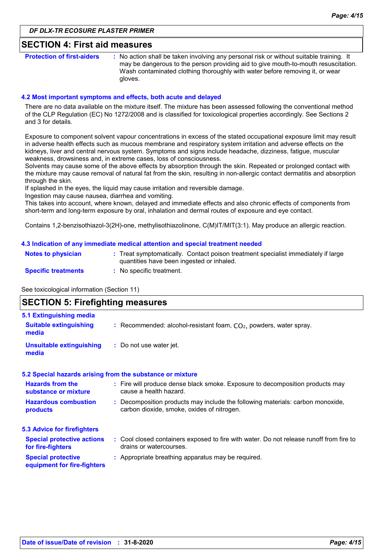### **SECTION 4: First aid measures**

**Protection of first-aiders** : No action shall be taken involving any personal risk or without suitable training. It may be dangerous to the person providing aid to give mouth-to-mouth resuscitation. Wash contaminated clothing thoroughly with water before removing it, or wear gloves.

#### **4.2 Most important symptoms and effects, both acute and delayed**

There are no data available on the mixture itself. The mixture has been assessed following the conventional method of the CLP Regulation (EC) No 1272/2008 and is classified for toxicological properties accordingly. See Sections 2 and 3 for details.

Exposure to component solvent vapour concentrations in excess of the stated occupational exposure limit may result in adverse health effects such as mucous membrane and respiratory system irritation and adverse effects on the kidneys, liver and central nervous system. Symptoms and signs include headache, dizziness, fatigue, muscular weakness, drowsiness and, in extreme cases, loss of consciousness.

Solvents may cause some of the above effects by absorption through the skin. Repeated or prolonged contact with the mixture may cause removal of natural fat from the skin, resulting in non-allergic contact dermatitis and absorption through the skin.

If splashed in the eyes, the liquid may cause irritation and reversible damage.

Ingestion may cause nausea, diarrhea and vomiting.

This takes into account, where known, delayed and immediate effects and also chronic effects of components from short-term and long-term exposure by oral, inhalation and dermal routes of exposure and eye contact.

Contains 1,2-benzisothiazol-3(2H)-one, methylisothiazolinone, C(M)IT/MIT(3:1). May produce an allergic reaction.

#### **4.3 Indication of any immediate medical attention and special treatment needed**

| <b>Notes to physician</b>  | : Treat symptomatically. Contact poison treatment specialist immediately if large<br>quantities have been ingested or inhaled. |
|----------------------------|--------------------------------------------------------------------------------------------------------------------------------|
| <b>Specific treatments</b> | No specific treatment.                                                                                                         |

See toxicological information (Section 11)

## **SECTION 5: Firefighting measures**

| 5.1 Extinguishing media                                  |                                                                                                                              |
|----------------------------------------------------------|------------------------------------------------------------------------------------------------------------------------------|
| <b>Suitable extinguishing</b><br>media                   | : Recommended: alcohol-resistant foam, $CO2$ , powders, water spray.                                                         |
| Unsuitable extinguishing<br>media                        | : Do not use water jet.                                                                                                      |
|                                                          | 5.2 Special hazards arising from the substance or mixture                                                                    |
| <b>Hazards from the</b><br>substance or mixture          | : Fire will produce dense black smoke. Exposure to decomposition products may<br>cause a health hazard.                      |
| <b>Hazardous combustion</b><br>products                  | : Decomposition products may include the following materials: carbon monoxide,<br>carbon dioxide, smoke, oxides of nitrogen. |
| 5.3 Advice for firefighters                              |                                                                                                                              |
| <b>Special protective actions</b><br>for fire-fighters   | : Cool closed containers exposed to fire with water. Do not release runoff from fire to<br>drains or watercourses.           |
| <b>Special protective</b><br>equipment for fire-fighters | : Appropriate breathing apparatus may be required.                                                                           |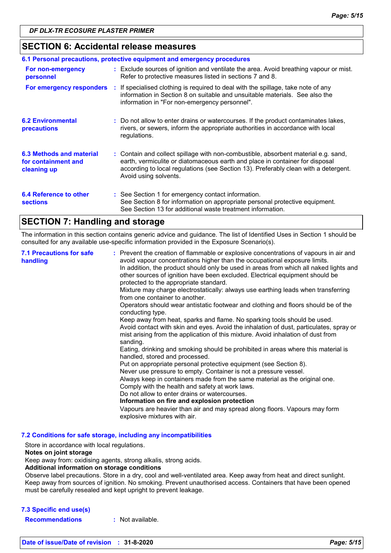## **SECTION 6: Accidental release measures**

| 6.1 Personal precautions, protective equipment and emergency procedures |  |                                                                                                                                                                                                                                                                                    |  |
|-------------------------------------------------------------------------|--|------------------------------------------------------------------------------------------------------------------------------------------------------------------------------------------------------------------------------------------------------------------------------------|--|
| For non-emergency<br>personnel                                          |  | : Exclude sources of ignition and ventilate the area. Avoid breathing vapour or mist.<br>Refer to protective measures listed in sections 7 and 8.                                                                                                                                  |  |
| For emergency responders                                                |  | : If specialised clothing is required to deal with the spillage, take note of any<br>information in Section 8 on suitable and unsuitable materials. See also the<br>information in "For non-emergency personnel".                                                                  |  |
| <b>6.2 Environmental</b><br>precautions                                 |  | : Do not allow to enter drains or watercourses. If the product contaminates lakes,<br>rivers, or sewers, inform the appropriate authorities in accordance with local<br>regulations.                                                                                               |  |
| 6.3 Methods and material<br>for containment and<br>cleaning up          |  | : Contain and collect spillage with non-combustible, absorbent material e.g. sand,<br>earth, vermiculite or diatomaceous earth and place in container for disposal<br>according to local regulations (see Section 13). Preferably clean with a detergent.<br>Avoid using solvents. |  |
| 6.4 Reference to other<br><b>sections</b>                               |  | : See Section 1 for emergency contact information.<br>See Section 8 for information on appropriate personal protective equipment.<br>See Section 13 for additional waste treatment information.                                                                                    |  |

## **SECTION 7: Handling and storage**

The information in this section contains generic advice and guidance. The list of Identified Uses in Section 1 should be consulted for any available use-specific information provided in the Exposure Scenario(s).

| <b>7.1 Precautions for safe</b><br>handling | : Prevent the creation of flammable or explosive concentrations of vapours in air and<br>avoid vapour concentrations higher than the occupational exposure limits.<br>In addition, the product should only be used in areas from which all naked lights and<br>other sources of ignition have been excluded. Electrical equipment should be<br>protected to the appropriate standard.<br>Mixture may charge electrostatically: always use earthing leads when transferring<br>from one container to another.<br>Operators should wear antistatic footwear and clothing and floors should be of the<br>conducting type.<br>Keep away from heat, sparks and flame. No sparking tools should be used.<br>Avoid contact with skin and eyes. Avoid the inhalation of dust, particulates, spray or<br>mist arising from the application of this mixture. Avoid inhalation of dust from<br>sanding.<br>Eating, drinking and smoking should be prohibited in areas where this material is<br>handled, stored and processed.<br>Put on appropriate personal protective equipment (see Section 8).<br>Never use pressure to empty. Container is not a pressure vessel.<br>Always keep in containers made from the same material as the original one.<br>Comply with the health and safety at work laws.<br>Do not allow to enter drains or watercourses.<br>Information on fire and explosion protection<br>Vapours are heavier than air and may spread along floors. Vapours may form<br>explosive mixtures with air. |
|---------------------------------------------|--------------------------------------------------------------------------------------------------------------------------------------------------------------------------------------------------------------------------------------------------------------------------------------------------------------------------------------------------------------------------------------------------------------------------------------------------------------------------------------------------------------------------------------------------------------------------------------------------------------------------------------------------------------------------------------------------------------------------------------------------------------------------------------------------------------------------------------------------------------------------------------------------------------------------------------------------------------------------------------------------------------------------------------------------------------------------------------------------------------------------------------------------------------------------------------------------------------------------------------------------------------------------------------------------------------------------------------------------------------------------------------------------------------------------------------------------------------------------------------------------------------|
|---------------------------------------------|--------------------------------------------------------------------------------------------------------------------------------------------------------------------------------------------------------------------------------------------------------------------------------------------------------------------------------------------------------------------------------------------------------------------------------------------------------------------------------------------------------------------------------------------------------------------------------------------------------------------------------------------------------------------------------------------------------------------------------------------------------------------------------------------------------------------------------------------------------------------------------------------------------------------------------------------------------------------------------------------------------------------------------------------------------------------------------------------------------------------------------------------------------------------------------------------------------------------------------------------------------------------------------------------------------------------------------------------------------------------------------------------------------------------------------------------------------------------------------------------------------------|

**7.2 Conditions for safe storage, including any incompatibilities**

Store in accordance with local regulations.

#### **Notes on joint storage**

Keep away from: oxidising agents, strong alkalis, strong acids.

#### **Additional information on storage conditions**

Observe label precautions. Store in a dry, cool and well-ventilated area. Keep away from heat and direct sunlight. Keep away from sources of ignition. No smoking. Prevent unauthorised access. Containers that have been opened must be carefully resealed and kept upright to prevent leakage.

#### **7.3 Specific end use(s)**

**Recommendations :** Not available.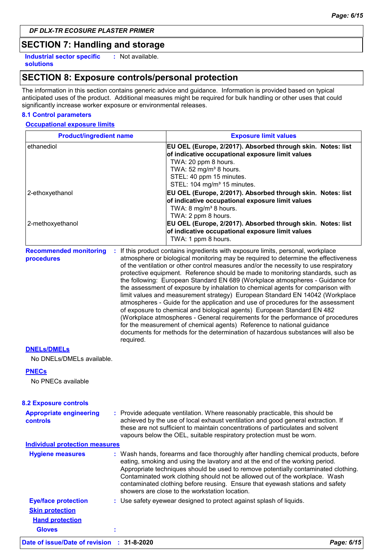## **SECTION 7: Handling and storage**

**Industrial sector specific : solutions**

: Not available.

## **SECTION 8: Exposure controls/personal protection**

The information in this section contains generic advice and guidance. Information is provided based on typical anticipated uses of the product. Additional measures might be required for bulk handling or other uses that could significantly increase worker exposure or environmental releases.

#### **8.1 Control parameters**

#### **Occupational exposure limits**

| <b>Product/ingredient name</b>                           |  | <b>Exposure limit values</b>                                                                                                                                                                                                                                                                                                                                                                                                                                                                                                                                                                                                                                                                                                                                                                                                                                                                                                                                                                                          |  |  |
|----------------------------------------------------------|--|-----------------------------------------------------------------------------------------------------------------------------------------------------------------------------------------------------------------------------------------------------------------------------------------------------------------------------------------------------------------------------------------------------------------------------------------------------------------------------------------------------------------------------------------------------------------------------------------------------------------------------------------------------------------------------------------------------------------------------------------------------------------------------------------------------------------------------------------------------------------------------------------------------------------------------------------------------------------------------------------------------------------------|--|--|
| ethanediol<br>2-ethoxyethanol                            |  | EU OEL (Europe, 2/2017). Absorbed through skin. Notes: list<br>of indicative occupational exposure limit values<br>TWA: 20 ppm 8 hours.<br>TWA: 52 mg/m <sup>3</sup> 8 hours.<br>STEL: 40 ppm 15 minutes.<br>STEL: 104 mg/m <sup>3</sup> 15 minutes.<br>EU OEL (Europe, 2/2017). Absorbed through skin. Notes: list<br>of indicative occupational exposure limit values<br>TWA: 8 mg/m <sup>3</sup> 8 hours.                                                                                                                                                                                                                                                                                                                                                                                                                                                                                                                                                                                                          |  |  |
| 2-methoxyethanol                                         |  | TWA: 2 ppm 8 hours.<br>EU OEL (Europe, 2/2017). Absorbed through skin. Notes: list<br>of indicative occupational exposure limit values<br>TWA: 1 ppm 8 hours.                                                                                                                                                                                                                                                                                                                                                                                                                                                                                                                                                                                                                                                                                                                                                                                                                                                         |  |  |
| <b>Recommended monitoring</b><br>procedures<br>required. |  | : If this product contains ingredients with exposure limits, personal, workplace<br>atmosphere or biological monitoring may be required to determine the effectiveness<br>of the ventilation or other control measures and/or the necessity to use respiratory<br>protective equipment. Reference should be made to monitoring standards, such as<br>the following: European Standard EN 689 (Workplace atmospheres - Guidance for<br>the assessment of exposure by inhalation to chemical agents for comparison with<br>limit values and measurement strategy) European Standard EN 14042 (Workplace<br>atmospheres - Guide for the application and use of procedures for the assessment<br>of exposure to chemical and biological agents) European Standard EN 482<br>(Workplace atmospheres - General requirements for the performance of procedures<br>for the measurement of chemical agents) Reference to national guidance<br>documents for methods for the determination of hazardous substances will also be |  |  |
| <b>DNELS/DMELS</b><br>No DNELs/DMELs available.          |  |                                                                                                                                                                                                                                                                                                                                                                                                                                                                                                                                                                                                                                                                                                                                                                                                                                                                                                                                                                                                                       |  |  |
| <b>PNECs</b>                                             |  |                                                                                                                                                                                                                                                                                                                                                                                                                                                                                                                                                                                                                                                                                                                                                                                                                                                                                                                                                                                                                       |  |  |
| No PNECs available                                       |  |                                                                                                                                                                                                                                                                                                                                                                                                                                                                                                                                                                                                                                                                                                                                                                                                                                                                                                                                                                                                                       |  |  |
| <b>8.2 Exposure controls</b>                             |  |                                                                                                                                                                                                                                                                                                                                                                                                                                                                                                                                                                                                                                                                                                                                                                                                                                                                                                                                                                                                                       |  |  |
| <b>Appropriate engineering</b><br>controls               |  | : Provide adequate ventilation. Where reasonably practicable, this should be<br>achieved by the use of local exhaust ventilation and good general extraction. If<br>these are not sufficient to maintain concentrations of particulates and solvent<br>vapours below the OEL, suitable respiratory protection must be worn.                                                                                                                                                                                                                                                                                                                                                                                                                                                                                                                                                                                                                                                                                           |  |  |
| <b>Individual protection measures</b>                    |  |                                                                                                                                                                                                                                                                                                                                                                                                                                                                                                                                                                                                                                                                                                                                                                                                                                                                                                                                                                                                                       |  |  |
| <b>Hygiene measures</b>                                  |  | : Wash hands, forearms and face thoroughly after handling chemical products, before<br>eating, smoking and using the lavatory and at the end of the working period.<br>Appropriate techniques should be used to remove potentially contaminated clothing.<br>Contaminated work clothing should not be allowed out of the workplace. Wash<br>contaminated clothing before reusing. Ensure that eyewash stations and safety<br>showers are close to the workstation location.                                                                                                                                                                                                                                                                                                                                                                                                                                                                                                                                           |  |  |
| <b>Eye/face protection</b>                               |  | : Use safety eyewear designed to protect against splash of liquids.                                                                                                                                                                                                                                                                                                                                                                                                                                                                                                                                                                                                                                                                                                                                                                                                                                                                                                                                                   |  |  |
| <b>Skin protection</b>                                   |  |                                                                                                                                                                                                                                                                                                                                                                                                                                                                                                                                                                                                                                                                                                                                                                                                                                                                                                                                                                                                                       |  |  |
| <b>Hand protection</b>                                   |  |                                                                                                                                                                                                                                                                                                                                                                                                                                                                                                                                                                                                                                                                                                                                                                                                                                                                                                                                                                                                                       |  |  |

**Gloves :**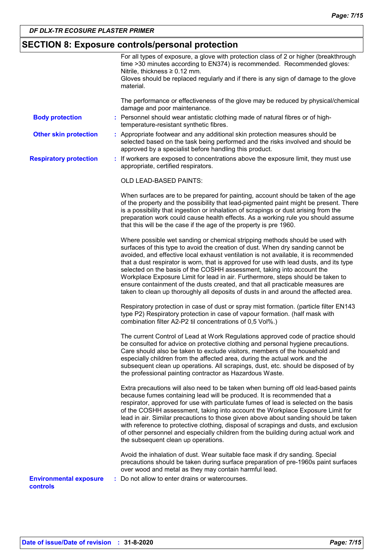## **SECTION 8: Exposure controls/personal protection**

|                                           | For all types of exposure, a glove with protection class of 2 or higher (breakthrough<br>time >30 minutes according to EN374) is recommended. Recommended gloves:<br>Nitrile, thickness $\geq 0.12$ mm.<br>Gloves should be replaced regularly and if there is any sign of damage to the glove<br>material.                                                                                                                                                                                                                                                                                                                                                                             |
|-------------------------------------------|-----------------------------------------------------------------------------------------------------------------------------------------------------------------------------------------------------------------------------------------------------------------------------------------------------------------------------------------------------------------------------------------------------------------------------------------------------------------------------------------------------------------------------------------------------------------------------------------------------------------------------------------------------------------------------------------|
|                                           | The performance or effectiveness of the glove may be reduced by physical/chemical<br>damage and poor maintenance.                                                                                                                                                                                                                                                                                                                                                                                                                                                                                                                                                                       |
| <b>Body protection</b>                    | : Personnel should wear antistatic clothing made of natural fibres or of high-<br>temperature-resistant synthetic fibres.                                                                                                                                                                                                                                                                                                                                                                                                                                                                                                                                                               |
| <b>Other skin protection</b>              | : Appropriate footwear and any additional skin protection measures should be<br>selected based on the task being performed and the risks involved and should be<br>approved by a specialist before handling this product.                                                                                                                                                                                                                                                                                                                                                                                                                                                               |
| <b>Respiratory protection</b>             | : If workers are exposed to concentrations above the exposure limit, they must use<br>appropriate, certified respirators.                                                                                                                                                                                                                                                                                                                                                                                                                                                                                                                                                               |
|                                           | OLD LEAD-BASED PAINTS:                                                                                                                                                                                                                                                                                                                                                                                                                                                                                                                                                                                                                                                                  |
|                                           | When surfaces are to be prepared for painting, account should be taken of the age<br>of the property and the possibility that lead-pigmented paint might be present. There<br>is a possibility that ingestion or inhalation of scrapings or dust arising from the<br>preparation work could cause health effects. As a working rule you should assume<br>that this will be the case if the age of the property is pre 1960.                                                                                                                                                                                                                                                             |
|                                           | Where possible wet sanding or chemical stripping methods should be used with<br>surfaces of this type to avoid the creation of dust. When dry sanding cannot be<br>avoided, and effective local exhaust ventilation is not available, it is recommended<br>that a dust respirator is worn, that is approved for use with lead dusts, and its type<br>selected on the basis of the COSHH assessment, taking into account the<br>Workplace Exposure Limit for lead in air. Furthermore, steps should be taken to<br>ensure containment of the dusts created, and that all practicable measures are<br>taken to clean up thoroughly all deposits of dusts in and around the affected area. |
|                                           | Respiratory protection in case of dust or spray mist formation. (particle filter EN143<br>type P2) Respiratory protection in case of vapour formation. (half mask with<br>combination filter A2-P2 til concentrations of 0,5 Vol%.)                                                                                                                                                                                                                                                                                                                                                                                                                                                     |
|                                           | The current Control of Lead at Work Regulations approved code of practice should<br>be consulted for advice on protective clothing and personal hygiene precautions.<br>Care should also be taken to exclude visitors, members of the household and<br>especially children from the affected area, during the actual work and the<br>subsequent clean up operations. All scrapings, dust, etc. should be disposed of by<br>the professional painting contractor as Hazardous Waste.                                                                                                                                                                                                     |
|                                           | Extra precautions will also need to be taken when burning off old lead-based paints<br>because fumes containing lead will be produced. It is recommended that a<br>respirator, approved for use with particulate fumes of lead is selected on the basis<br>of the COSHH assessment, taking into account the Workplace Exposure Limit for<br>lead in air. Similar precautions to those given above about sanding should be taken<br>with reference to protective clothing, disposal of scrapings and dusts, and exclusion<br>of other personnel and especially children from the building during actual work and<br>the subsequent clean up operations.                                  |
|                                           | Avoid the inhalation of dust. Wear suitable face mask if dry sanding. Special<br>precautions should be taken during surface preparation of pre-1960s paint surfaces<br>over wood and metal as they may contain harmful lead.                                                                                                                                                                                                                                                                                                                                                                                                                                                            |
| <b>Environmental exposure</b><br>controls | : Do not allow to enter drains or watercourses.                                                                                                                                                                                                                                                                                                                                                                                                                                                                                                                                                                                                                                         |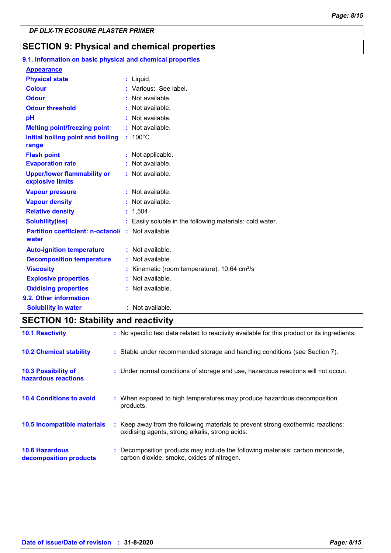## **SECTION 9: Physical and chemical properties**

#### 100°C **Initial boiling point and boiling : Physical state Melting point/freezing point range Vapour pressure Relative density Vapour density Solubility(ies)** Liquid. **: :** Not available. 1,504 **: :** Not available. **:** Not available. Easily soluble in the following materials: cold water. **: Odour** : Not available. **pH Colour Evaporation rate Auto-ignition temperature Flash point :** Not available. **:** Not available. **:** Not available. **Partition coefficient: n-octanol/ :** Not available. **:** Not available. **Viscosity Kinematic (room temperature): 10,64 cm<sup>2</sup>/s Viscosity Odour threshold water Upper/lower flammability or explosive limits Explosive properties :** Various: See label. : Not available. **:** Not available. **:** Not applicable. **Oxidising properties : Not available. 9.1. Information on basic physical and chemical properties Appearance 9.2. Other information Decomposition temperature :** Not available. **Solubility in water :** Not available.

## **SECTION 10: Stability and reactivity**

| <b>10.1 Reactivity</b>                            | : No specific test data related to reactivity available for this product or its ingredients.                                        |
|---------------------------------------------------|-------------------------------------------------------------------------------------------------------------------------------------|
| <b>10.2 Chemical stability</b>                    | : Stable under recommended storage and handling conditions (see Section 7).                                                         |
| <b>10.3 Possibility of</b><br>hazardous reactions | : Under normal conditions of storage and use, hazardous reactions will not occur.                                                   |
| <b>10.4 Conditions to avoid</b>                   | : When exposed to high temperatures may produce hazardous decomposition<br>products.                                                |
| <b>10.5 Incompatible materials</b>                | : Keep away from the following materials to prevent strong exothermic reactions:<br>oxidising agents, strong alkalis, strong acids. |
| <b>10.6 Hazardous</b><br>decomposition products   | : Decomposition products may include the following materials: carbon monoxide,<br>carbon dioxide, smoke, oxides of nitrogen.        |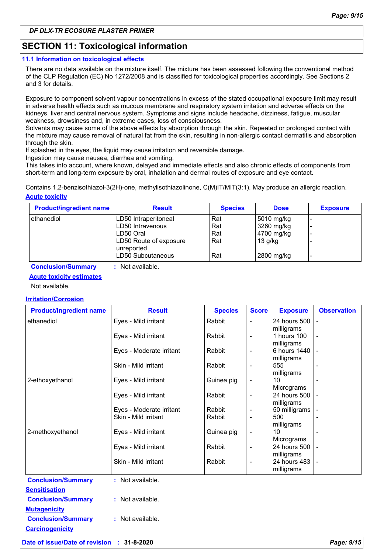## **SECTION 11: Toxicological information**

#### **11.1 Information on toxicological effects**

There are no data available on the mixture itself. The mixture has been assessed following the conventional method of the CLP Regulation (EC) No 1272/2008 and is classified for toxicological properties accordingly. See Sections 2 and 3 for details.

Exposure to component solvent vapour concentrations in excess of the stated occupational exposure limit may result in adverse health effects such as mucous membrane and respiratory system irritation and adverse effects on the kidneys, liver and central nervous system. Symptoms and signs include headache, dizziness, fatigue, muscular weakness, drowsiness and, in extreme cases, loss of consciousness.

Solvents may cause some of the above effects by absorption through the skin. Repeated or prolonged contact with the mixture may cause removal of natural fat from the skin, resulting in non-allergic contact dermatitis and absorption through the skin.

If splashed in the eyes, the liquid may cause irritation and reversible damage.

Ingestion may cause nausea, diarrhea and vomiting.

This takes into account, where known, delayed and immediate effects and also chronic effects of components from short-term and long-term exposure by oral, inhalation and dermal routes of exposure and eye contact.

**Acute toxicity** Contains 1,2-benzisothiazol-3(2H)-one, methylisothiazolinone, C(M)IT/MIT(3:1). May produce an allergic reaction.

| <b>Product/ingredient name</b> | <b>Result</b>                        | <b>Species</b> | <b>Dose</b> | <b>Exposure</b> |
|--------------------------------|--------------------------------------|----------------|-------------|-----------------|
| ethanediol                     | LD50 Intraperitoneal                 | Rat            | 5010 mg/kg  | -               |
|                                | LD50 Intravenous                     | Rat            | 3260 mg/kg  | -               |
|                                | ILD50 Oral                           | Rat            | 4700 mg/kg  | -               |
|                                | LD50 Route of exposure<br>unreported | Rat            | $13$ g/kg   |                 |
|                                | LD50 Subcutaneous                    | Rat            | 2800 mg/kg  | -               |

**Conclusion/Summary :** Not available.

### **Acute toxicity estimates**

Not available.

#### **Irritation/Corrosion**

| <b>Product/ingredient name</b> | <b>Result</b>                                    | <b>Species</b>   | <b>Score</b>             | <b>Exposure</b>            | <b>Observation</b> |
|--------------------------------|--------------------------------------------------|------------------|--------------------------|----------------------------|--------------------|
| ethanediol                     | Eyes - Mild irritant                             | Rabbit           |                          | 24 hours 500               |                    |
|                                |                                                  |                  |                          | milligrams                 |                    |
|                                | Eyes - Mild irritant                             | Rabbit           | $\overline{\phantom{0}}$ | 1 hours 100                |                    |
|                                |                                                  |                  |                          | milligrams                 |                    |
|                                | Eyes - Moderate irritant                         | Rabbit           | $\overline{\phantom{0}}$ | 6 hours 1440<br>milligrams |                    |
|                                | Skin - Mild irritant                             | Rabbit           |                          | 555                        |                    |
|                                |                                                  |                  |                          | milligrams                 |                    |
| 2-ethoxyethanol                | Eyes - Mild irritant                             | Guinea pig       |                          | 10                         |                    |
|                                |                                                  |                  |                          | Micrograms                 |                    |
|                                | Eyes - Mild irritant                             | Rabbit           | ÷,                       | 24 hours 500               |                    |
|                                |                                                  |                  |                          | milligrams                 |                    |
|                                | Eyes - Moderate irritant<br>Skin - Mild irritant | Rabbit<br>Rabbit | -                        | 50 milligrams<br>500       |                    |
|                                |                                                  |                  |                          | milligrams                 |                    |
| 2-methoxyethanol               | Eyes - Mild irritant                             | Guinea pig       | -                        | 10                         |                    |
|                                |                                                  |                  |                          | Micrograms                 |                    |
|                                | Eyes - Mild irritant                             | Rabbit           | $\overline{\phantom{0}}$ | 24 hours 500               |                    |
|                                |                                                  |                  |                          | milligrams                 |                    |
|                                | Skin - Mild irritant                             | Rabbit           | $\overline{\phantom{0}}$ | 24 hours 483               |                    |
|                                |                                                  |                  |                          | milligrams                 |                    |
| <b>Conclusion/Summary</b>      | : Not available.                                 |                  |                          |                            |                    |
| <b>Sensitisation</b>           |                                                  |                  |                          |                            |                    |
| <b>Conclusion/Summary</b>      | : Not available.                                 |                  |                          |                            |                    |
| <b>Mutagenicity</b>            |                                                  |                  |                          |                            |                    |
| <b>Conclusion/Summary</b>      | : Not available.                                 |                  |                          |                            |                    |
|                                |                                                  |                  |                          |                            |                    |
| <b>Carcinogenicity</b>         |                                                  |                  |                          |                            |                    |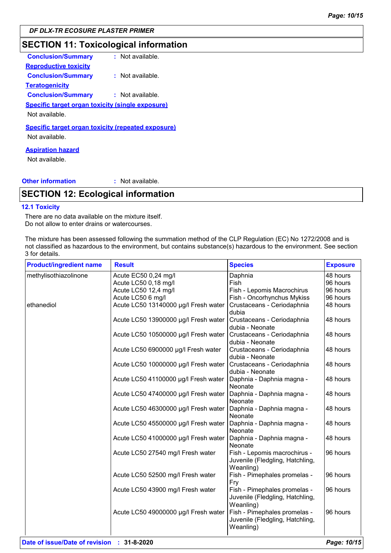## **SECTION 11: Toxicological information**

| <b>Conclusion/Summary</b>                                 | : Not available. |
|-----------------------------------------------------------|------------------|
| <b>Reproductive toxicity</b>                              |                  |
| <b>Conclusion/Summary</b>                                 | : Not available. |
| <b>Teratogenicity</b>                                     |                  |
| <b>Conclusion/Summary</b>                                 | : Not available. |
| <b>Specific target organ toxicity (single exposure)</b>   |                  |
| Not available.                                            |                  |
| <b>Specific target organ toxicity (repeated exposure)</b> |                  |
| Not available.                                            |                  |
| <b>Aspiration hazard</b>                                  |                  |

Not available.

#### **Other information :**

: Not available.

## **SECTION 12: Ecological information**

#### **12.1 Toxicity**

There are no data available on the mixture itself. Do not allow to enter drains or watercourses.

The mixture has been assessed following the summation method of the CLP Regulation (EC) No 1272/2008 and is not classified as hazardous to the environment, but contains substance(s) hazardous to the environment. See section 3 for details.

| <b>Product/ingredient name</b> | <b>Result</b>                        | <b>Species</b>                                                               | <b>Exposure</b> |
|--------------------------------|--------------------------------------|------------------------------------------------------------------------------|-----------------|
| methylisothiazolinone          | Acute EC50 0,24 mg/l                 | Daphnia                                                                      | 48 hours        |
|                                | Acute LC50 0,18 mg/l                 | Fish                                                                         | 96 hours        |
|                                | Acute LC50 12,4 mg/l                 | Fish - Lepomis Macrochirus                                                   | 96 hours        |
|                                | Acute LC50 6 mg/l                    | Fish - Oncorhynchus Mykiss                                                   | 96 hours        |
| ethanediol                     | Acute LC50 13140000 µg/l Fresh water | Crustaceans - Ceriodaphnia<br>dubia                                          | 48 hours        |
|                                | Acute LC50 13900000 µg/l Fresh water | Crustaceans - Ceriodaphnia<br>dubia - Neonate                                | 48 hours        |
|                                | Acute LC50 10500000 µg/l Fresh water | Crustaceans - Ceriodaphnia<br>dubia - Neonate                                | 48 hours        |
|                                | Acute LC50 6900000 µg/l Fresh water  | Crustaceans - Ceriodaphnia<br>dubia - Neonate                                | 48 hours        |
|                                | Acute LC50 10000000 µg/l Fresh water | Crustaceans - Ceriodaphnia<br>dubia - Neonate                                | 48 hours        |
|                                | Acute LC50 41100000 µg/l Fresh water | Daphnia - Daphnia magna -<br>Neonate                                         | 48 hours        |
|                                | Acute LC50 47400000 µg/l Fresh water | Daphnia - Daphnia magna -<br><b>Neonate</b>                                  | 48 hours        |
|                                | Acute LC50 46300000 µg/l Fresh water | Daphnia - Daphnia magna -<br>Neonate                                         | 48 hours        |
|                                | Acute LC50 45500000 µg/l Fresh water | Daphnia - Daphnia magna -<br>Neonate                                         | 48 hours        |
|                                | Acute LC50 41000000 µg/l Fresh water | Daphnia - Daphnia magna -<br>Neonate                                         | 48 hours        |
|                                | Acute LC50 27540 mg/l Fresh water    | Fish - Lepomis macrochirus -<br>Juvenile (Fledgling, Hatchling,<br>Weanling) | 96 hours        |
|                                | Acute LC50 52500 mg/l Fresh water    | Fish - Pimephales promelas -<br>Fry                                          | 96 hours        |
|                                | Acute LC50 43900 mg/l Fresh water    | Fish - Pimephales promelas -<br>Juvenile (Fledgling, Hatchling,<br>Weanling) | 96 hours        |
|                                | Acute LC50 49000000 µg/l Fresh water | Fish - Pimephales promelas -<br>Juvenile (Fledgling, Hatchling,<br>Weanling) | 96 hours        |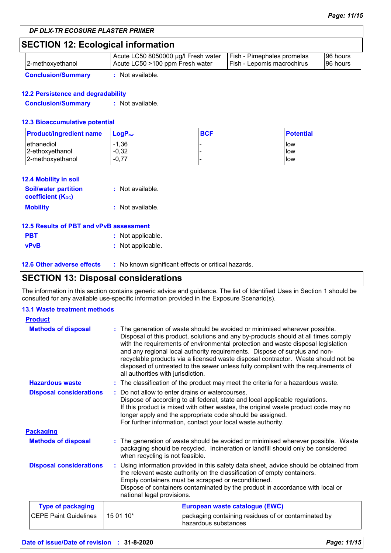## **SECTION 12: Ecological information**

| 2-methoxyethanol          | Acute LC50 8050000 µg/l Fresh water<br>Acute LC50 >100 ppm Fresh water | <b>Fish - Pimephales promelas</b><br>Fish - Lepomis macrochirus | 96 hours<br>196 hours |
|---------------------------|------------------------------------------------------------------------|-----------------------------------------------------------------|-----------------------|
| <b>Conclusion/Summary</b> | Not available.                                                         |                                                                 |                       |

#### **12.2 Persistence and degradability**

**Conclusion/Summary :** Not available.

#### **12.3 Bioaccumulative potential**

| <b>Product/ingredient name</b> | <b>LogP</b> <sub>ow</sub> | <b>BCF</b> | <b>Potential</b> |
|--------------------------------|---------------------------|------------|------------------|
| l ethanediol                   | $-1,36$                   |            | low              |
| 2-ethoxyethanol                | $-0,32$                   |            | low              |
| 2-methoxyethanol               | $-0.77$                   |            | low              |

#### **12.4 Mobility in soil**

| <b>Soil/water partition</b><br><b>coefficient</b> (K <sub>oc</sub> ) | : Not available. |
|----------------------------------------------------------------------|------------------|
| <b>Mobility</b>                                                      | : Not available. |

| 12.5 Results of PBT and vPvB assessment |                   |  |  |
|-----------------------------------------|-------------------|--|--|
| <b>PBT</b>                              | : Not applicable. |  |  |
| <b>vPvB</b>                             | : Not applicable. |  |  |

**12.6 Other adverse effects** : No known significant effects or critical hazards.

## **SECTION 13: Disposal considerations**

The information in this section contains generic advice and guidance. The list of Identified Uses in Section 1 should be consulted for any available use-specific information provided in the Exposure Scenario(s).

#### **13.1 Waste treatment methods**

| <b>Product</b>                 |           |                                                                                                                                                                                                                                                                                                                                                                                                                                                                                                                                                    |  |
|--------------------------------|-----------|----------------------------------------------------------------------------------------------------------------------------------------------------------------------------------------------------------------------------------------------------------------------------------------------------------------------------------------------------------------------------------------------------------------------------------------------------------------------------------------------------------------------------------------------------|--|
| <b>Methods of disposal</b>     |           | The generation of waste should be avoided or minimised wherever possible.<br>Disposal of this product, solutions and any by-products should at all times comply<br>with the requirements of environmental protection and waste disposal legislation<br>and any regional local authority requirements. Dispose of surplus and non-<br>recyclable products via a licensed waste disposal contractor. Waste should not be<br>disposed of untreated to the sewer unless fully compliant with the requirements of<br>all authorities with jurisdiction. |  |
| <b>Hazardous waste</b>         |           | : The classification of the product may meet the criteria for a hazardous waste.                                                                                                                                                                                                                                                                                                                                                                                                                                                                   |  |
| <b>Disposal considerations</b> |           | : Do not allow to enter drains or watercourses.<br>Dispose of according to all federal, state and local applicable regulations.<br>If this product is mixed with other wastes, the original waste product code may no<br>longer apply and the appropriate code should be assigned.<br>For further information, contact your local waste authority.                                                                                                                                                                                                 |  |
| <b>Packaging</b>               |           |                                                                                                                                                                                                                                                                                                                                                                                                                                                                                                                                                    |  |
| <b>Methods of disposal</b>     |           | : The generation of waste should be avoided or minimised wherever possible. Waste<br>packaging should be recycled. Incineration or landfill should only be considered<br>when recycling is not feasible.                                                                                                                                                                                                                                                                                                                                           |  |
| <b>Disposal considerations</b> |           | : Using information provided in this safety data sheet, advice should be obtained from<br>the relevant waste authority on the classification of empty containers.<br>Empty containers must be scrapped or reconditioned.<br>Dispose of containers contaminated by the product in accordance with local or<br>national legal provisions.                                                                                                                                                                                                            |  |
| <b>Type of packaging</b>       |           | European waste catalogue (EWC)                                                                                                                                                                                                                                                                                                                                                                                                                                                                                                                     |  |
| <b>CEPE Paint Guidelines</b>   | 15 01 10* | packaging containing residues of or contaminated by<br>hazardous substances                                                                                                                                                                                                                                                                                                                                                                                                                                                                        |  |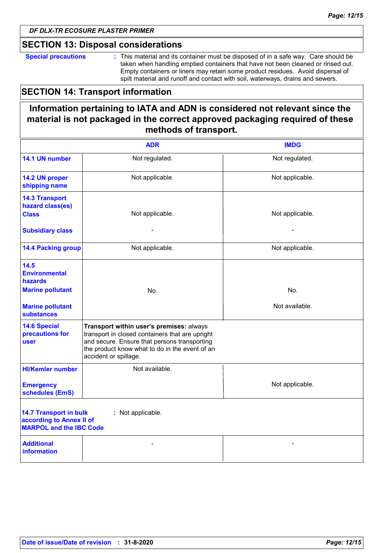### **SECTION 13: Disposal considerations**

**Special precautions :** This material and its container must be disposed of in a safe way. Care should be taken when handling emptied containers that have not been cleaned or rinsed out. Empty containers or liners may retain some product residues. Avoid dispersal of spilt material and runoff and contact with soil, waterways, drains and sewers.

## **SECTION 14: Transport information**

## **Information pertaining to IATA and ADN is considered not relevant since the material is not packaged in the correct approved packaging required of these methods of transport.**

|                                                                                                                  | <b>ADR</b>                                                                                                                                                                                                             | <b>IMDG</b>     |
|------------------------------------------------------------------------------------------------------------------|------------------------------------------------------------------------------------------------------------------------------------------------------------------------------------------------------------------------|-----------------|
| 14.1 UN number                                                                                                   | Not regulated.                                                                                                                                                                                                         | Not regulated.  |
| 14.2 UN proper<br>shipping name                                                                                  | Not applicable.                                                                                                                                                                                                        | Not applicable. |
| <b>14.3 Transport</b><br>hazard class(es)<br><b>Class</b>                                                        | Not applicable.                                                                                                                                                                                                        | Not applicable. |
| <b>Subsidiary class</b>                                                                                          |                                                                                                                                                                                                                        |                 |
| <b>14.4 Packing group</b>                                                                                        | Not applicable.                                                                                                                                                                                                        | Not applicable. |
| 14.5<br><b>Environmental</b><br><b>hazards</b>                                                                   |                                                                                                                                                                                                                        |                 |
| <b>Marine pollutant</b>                                                                                          | No.                                                                                                                                                                                                                    | No.             |
| <b>Marine pollutant</b><br><b>substances</b>                                                                     |                                                                                                                                                                                                                        | Not available.  |
| <b>14.6 Special</b><br>precautions for<br>user                                                                   | Transport within user's premises: always<br>transport in closed containers that are upright<br>and secure. Ensure that persons transporting<br>the product know what to do in the event of an<br>accident or spillage. |                 |
| <b>HI/Kemler number</b>                                                                                          | Not available.                                                                                                                                                                                                         |                 |
| <b>Emergency</b><br>schedules (EmS)                                                                              |                                                                                                                                                                                                                        | Not applicable. |
| <b>14.7 Transport in bulk</b><br>: Not applicable.<br>according to Annex II of<br><b>MARPOL and the IBC Code</b> |                                                                                                                                                                                                                        |                 |
| <b>Additional</b><br><b>information</b>                                                                          |                                                                                                                                                                                                                        |                 |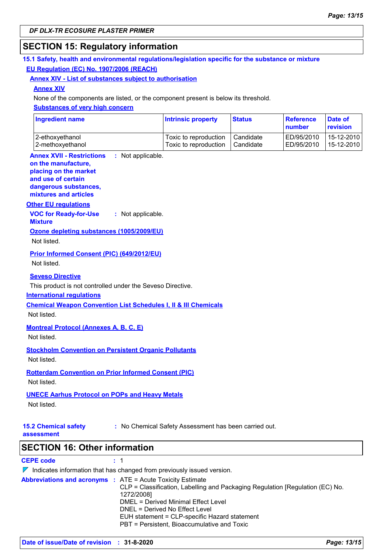## **SECTION 15: Regulatory information**

#### **15.1 Safety, health and environmental regulations/legislation specific for the substance or mixture EU Regulation (EC) No. 1907/2006 (REACH)**

#### **Annex XIV - List of substances subject to authorisation**

#### **Annex XIV**

None of the components are listed, or the component present is below its threshold.

#### **Substances of very high concern**

| <b>Ingredient name</b> | <b>Intrinsic property</b> | <b>Status</b> | <b>Reference</b><br>number | Date of<br>revision |
|------------------------|---------------------------|---------------|----------------------------|---------------------|
| 2-ethoxyethanol        | Toxic to reproduction     | Candidate     | ED/95/2010                 | 15-12-2010          |
| 2-methoxyethanol       | Toxic to reproduction     | Candidate     | ED/95/2010                 | 15-12-2010          |

#### **Annex XVII - Restrictions on the manufacture,** : Not applicable.

#### **placing on the market**

**and use of certain dangerous substances, mixtures and articles**

**Other EU regulations**

**VOC for Ready-for-Use Mixture :** Not applicable.

### **Ozone depleting substances (1005/2009/EU)**

Not listed.

#### **Prior Informed Consent (PIC) (649/2012/EU)**

Not listed.

#### **Seveso Directive**

This product is not controlled under the Seveso Directive.

#### **International regulations**

**Chemical Weapon Convention List Schedules I, II & III Chemicals**

Not listed.

#### **Montreal Protocol (Annexes A, B, C, E)**

Not listed.

## **Stockholm Convention on Persistent Organic Pollutants**

Not listed.

## **Rotterdam Convention on Prior Informed Consent (PIC)**

Not listed.

#### **UNECE Aarhus Protocol on POPs and Heavy Metals**

Not listed.

**15.2 Chemical safety** 

**:** No Chemical Safety Assessment has been carried out.

**assessment**

**SECTION 16: Other information**

#### **CEPE code :** 1

 $\nabla$  Indicates information that has changed from previously issued version. **Abbreviations and acronyms :** ATE = Acute Toxicity Estimate CLP = Classification, Labelling and Packaging Regulation [Regulation (EC) No. 1272/2008] DMEL = Derived Minimal Effect Level DNEL = Derived No Effect Level EUH statement = CLP-specific Hazard statement PBT = Persistent, Bioaccumulative and Toxic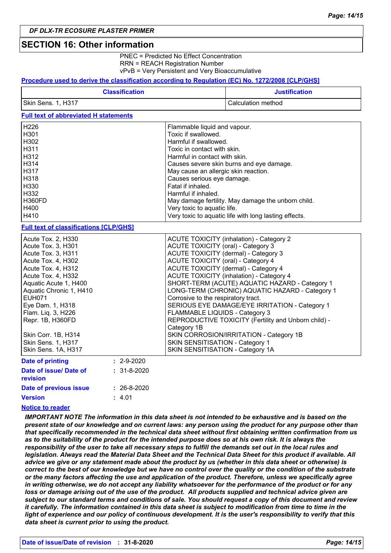### **SECTION 16: Other information**

PNEC = Predicted No Effect Concentration RRN = REACH Registration Number vPvB = Very Persistent and Very Bioaccumulative

#### **Procedure used to derive the classification according to Regulation (EC) No. 1272/2008 [CLP/GHS]**

| <b>Classification</b> | <b>Justification</b> |
|-----------------------|----------------------|
| Skin Sens. 1, H317    | Calculation method   |

#### **Full text of abbreviated H statements**

| H <sub>226</sub> | Flammable liquid and vapour.                          |
|------------------|-------------------------------------------------------|
| H <sub>301</sub> | Toxic if swallowed.                                   |
| H302             | Harmful if swallowed.                                 |
| H311             | Toxic in contact with skin.                           |
| H312             | Harmful in contact with skin.                         |
| H314             | Causes severe skin burns and eye damage.              |
| H317             | May cause an allergic skin reaction.                  |
| H318             | Causes serious eye damage.                            |
| H330             | Fatal if inhaled.                                     |
| H332             | Harmful if inhaled.                                   |
| H360FD           | May damage fertility. May damage the unborn child.    |
| H400             | Very toxic to aquatic life.                           |
| H410             | Very toxic to aquatic life with long lasting effects. |

#### **Full text of classifications [CLP/GHS]**

| Acute Tox. 2, H330        | ACUTE TOXICITY (inhalation) - Category 2             |
|---------------------------|------------------------------------------------------|
| Acute Tox. 3, H301        | ACUTE TOXICITY (oral) - Category 3                   |
| Acute Tox. 3, H311        | ACUTE TOXICITY (dermal) - Category 3                 |
| Acute Tox. 4, H302        | <b>ACUTE TOXICITY (oral) - Category 4</b>            |
| Acute Tox. 4, H312        | ACUTE TOXICITY (dermal) - Category 4                 |
| Acute Tox. 4, H332        | <b>ACUTE TOXICITY (inhalation) - Category 4</b>      |
| Aquatic Acute 1, H400     | SHORT-TERM (ACUTE) AQUATIC HAZARD - Category 1       |
| Aquatic Chronic 1, H410   | LONG-TERM (CHRONIC) AQUATIC HAZARD - Category 1      |
| <b>EUH071</b>             | Corrosive to the respiratory tract.                  |
| Eye Dam. 1, H318          | SERIOUS EYE DAMAGE/EYE IRRITATION - Category 1       |
| Flam. Lig. 3, H226        | FLAMMABLE LIQUIDS - Category 3                       |
| Repr. 1B, H360FD          | REPRODUCTIVE TOXICITY (Fertility and Unborn child) - |
|                           | Category 1B                                          |
| Skin Corr. 1B, H314       | SKIN CORROSION/IRRITATION - Category 1B              |
| <b>Skin Sens. 1, H317</b> | SKIN SENSITISATION - Category 1                      |
| Skin Sens. 1A, H317       | SKIN SENSITISATION - Category 1A                     |
| Dota of printing          |                                                      |

| <b>Date of printing</b>            | $: 2 - 9 - 2020$  |
|------------------------------------|-------------------|
| Date of issue/ Date of<br>revision | $: 31 - 8 - 2020$ |
| Date of previous issue             | $: 26 - 8 - 2020$ |
| <b>Version</b>                     | : 4.01            |

#### **Notice to reader**

*IMPORTANT NOTE The information in this data sheet is not intended to be exhaustive and is based on the present state of our knowledge and on current laws: any person using the product for any purpose other than that specifically recommended in the technical data sheet without first obtaining written confirmation from us as to the suitability of the product for the intended purpose does so at his own risk. It is always the responsibility of the user to take all necessary steps to fulfill the demands set out in the local rules and legislation. Always read the Material Data Sheet and the Technical Data Sheet for this product if available. All advice we give or any statement made about the product by us (whether in this data sheet or otherwise) is correct to the best of our knowledge but we have no control over the quality or the condition of the substrate or the many factors affecting the use and application of the product. Therefore, unless we specifically agree in writing otherwise, we do not accept any liability whatsoever for the performance of the product or for any loss or damage arising out of the use of the product. All products supplied and technical advice given are subject to our standard terms and conditions of sale. You should request a copy of this document and review it carefully. The information contained in this data sheet is subject to modification from time to time in the light of experience and our policy of continuous development. It is the user's responsibility to verify that this data sheet is current prior to using the product.*